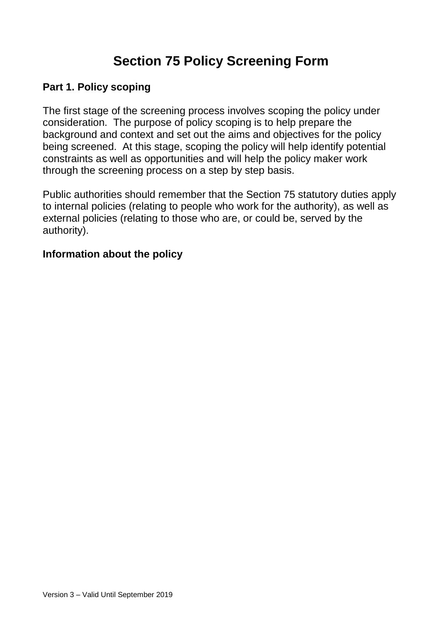# **Section 75 Policy Screening Form**

#### **Part 1. Policy scoping**

The first stage of the screening process involves scoping the policy under consideration. The purpose of policy scoping is to help prepare the background and context and set out the aims and objectives for the policy being screened. At this stage, scoping the policy will help identify potential constraints as well as opportunities and will help the policy maker work through the screening process on a step by step basis.

Public authorities should remember that the Section 75 statutory duties apply to internal policies (relating to people who work for the authority), as well as external policies (relating to those who are, or could be, served by the authority).

#### **Information about the policy**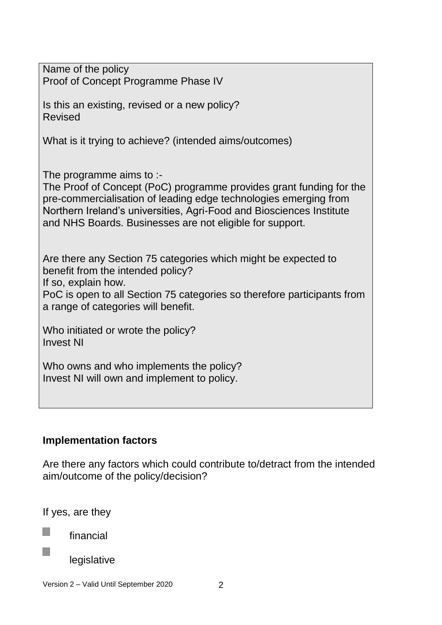| Name of the policy<br>Proof of Concept Programme Phase IV                                                                                                                                                                                                                                               |
|---------------------------------------------------------------------------------------------------------------------------------------------------------------------------------------------------------------------------------------------------------------------------------------------------------|
| Is this an existing, revised or a new policy?<br><b>Revised</b>                                                                                                                                                                                                                                         |
| What is it trying to achieve? (intended aims/outcomes)                                                                                                                                                                                                                                                  |
| The programme aims to :-<br>The Proof of Concept (PoC) programme provides grant funding for the<br>pre-commercialisation of leading edge technologies emerging from<br>Northern Ireland's universities, Agri-Food and Biosciences Institute<br>and NHS Boards. Businesses are not eligible for support. |
| Are there any Section 75 categories which might be expected to<br>benefit from the intended policy?<br>If so, explain how.<br>PoC is open to all Section 75 categories so therefore participants from<br>a range of categories will benefit.                                                            |
| Who initiated or wrote the policy?<br><b>Invest NI</b>                                                                                                                                                                                                                                                  |
| Who owns and who implements the policy?<br>Invest NI will own and implement to policy.                                                                                                                                                                                                                  |
|                                                                                                                                                                                                                                                                                                         |

# **Implementation factors**

Are there any factors which could contribute to/detract from the intended aim/outcome of the policy/decision?

If yes, are they

m, financial

T.

legislative

Version 2 – Valid Until September 2020 2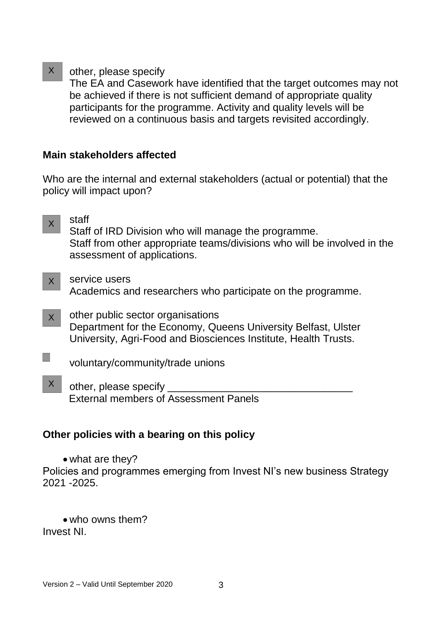other, please specify  $X$ 

The EA and Casework have identified that the target outcomes may not be achieved if there is not sufficient demand of appropriate quality participants for the programme. Activity and quality levels will be reviewed on a continuous basis and targets revisited accordingly.

# **Main stakeholders affected**

Who are the internal and external stakeholders (actual or potential) that the policy will impact upon?

- staff Staff of IRD Division who will manage the programme. Staff from other appropriate teams/divisions who will be involved in the assessment of applications.  $X$
- service users Academics and researchers who participate on the programme.  $X$
- other public sector organisations Department for the Economy, Queens University Belfast, Ulster University, Agri-Food and Biosciences Institute, Health Trusts. X
- m. voluntary/community/trade unions
- other, please specify External members of Assessment Panels X

# **Other policies with a bearing on this policy**

• what are they?

Policies and programmes emerging from Invest NI's new business Strategy 2021 -2025.

 who owns them? Invest NI.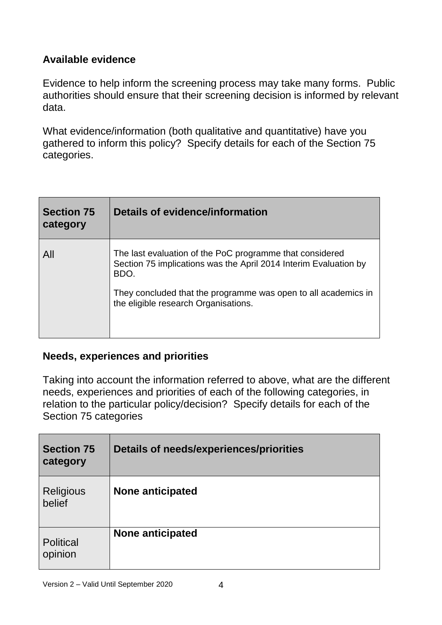# **Available evidence**

Evidence to help inform the screening process may take many forms. Public authorities should ensure that their screening decision is informed by relevant data.

What evidence/information (both qualitative and quantitative) have you gathered to inform this policy? Specify details for each of the Section 75 categories.

| <b>Section 75</b><br>category | Details of evidence/information                                                                                                                                                                                                                |  |
|-------------------------------|------------------------------------------------------------------------------------------------------------------------------------------------------------------------------------------------------------------------------------------------|--|
| All                           | The last evaluation of the PoC programme that considered<br>Section 75 implications was the April 2014 Interim Evaluation by<br>BDO.<br>They concluded that the programme was open to all academics in<br>the eligible research Organisations. |  |

#### **Needs, experiences and priorities**

Taking into account the information referred to above, what are the different needs, experiences and priorities of each of the following categories, in relation to the particular policy/decision? Specify details for each of the Section 75 categories

| <b>Section 75</b><br>category | <b>Details of needs/experiences/priorities</b> |
|-------------------------------|------------------------------------------------|
| <b>Religious</b><br>belief    | None anticipated                               |
| <b>Political</b><br>opinion   | None anticipated                               |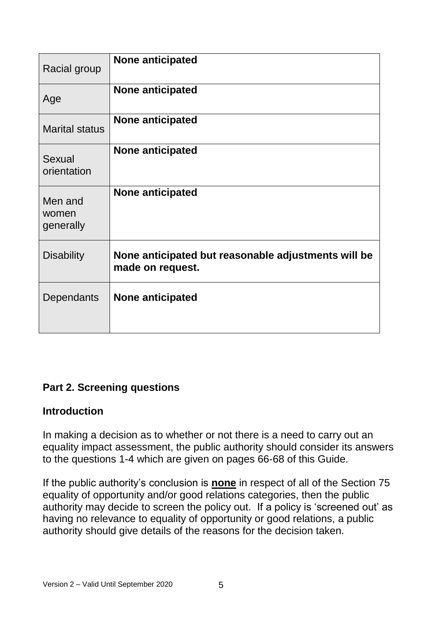| Racial group                  | <b>None anticipated</b>                                                 |
|-------------------------------|-------------------------------------------------------------------------|
| Age                           | <b>None anticipated</b>                                                 |
| <b>Marital status</b>         | None anticipated                                                        |
| Sexual<br>orientation         | <b>None anticipated</b>                                                 |
| Men and<br>women<br>generally | <b>None anticipated</b>                                                 |
| <b>Disability</b>             | None anticipated but reasonable adjustments will be<br>made on request. |
| Dependants                    | <b>None anticipated</b>                                                 |

# **Part 2. Screening questions**

#### **Introduction**

In making a decision as to whether or not there is a need to carry out an equality impact assessment, the public authority should consider its answers to the questions 1-4 which are given on pages 66-68 of this Guide.

If the public authority's conclusion is **none** in respect of all of the Section 75 equality of opportunity and/or good relations categories, then the public authority may decide to screen the policy out. If a policy is 'screened out' as having no relevance to equality of opportunity or good relations, a public authority should give details of the reasons for the decision taken.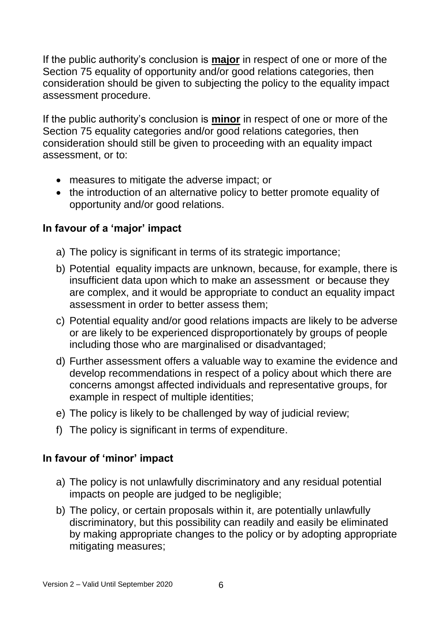If the public authority's conclusion is **major** in respect of one or more of the Section 75 equality of opportunity and/or good relations categories, then consideration should be given to subjecting the policy to the equality impact assessment procedure.

If the public authority's conclusion is **minor** in respect of one or more of the Section 75 equality categories and/or good relations categories, then consideration should still be given to proceeding with an equality impact assessment, or to:

- measures to mitigate the adverse impact; or
- the introduction of an alternative policy to better promote equality of opportunity and/or good relations.

# **In favour of a 'major' impact**

- a) The policy is significant in terms of its strategic importance;
- b) Potential equality impacts are unknown, because, for example, there is insufficient data upon which to make an assessment or because they are complex, and it would be appropriate to conduct an equality impact assessment in order to better assess them;
- c) Potential equality and/or good relations impacts are likely to be adverse or are likely to be experienced disproportionately by groups of people including those who are marginalised or disadvantaged;
- d) Further assessment offers a valuable way to examine the evidence and develop recommendations in respect of a policy about which there are concerns amongst affected individuals and representative groups, for example in respect of multiple identities;
- e) The policy is likely to be challenged by way of judicial review;
- f) The policy is significant in terms of expenditure.

# **In favour of 'minor' impact**

- a) The policy is not unlawfully discriminatory and any residual potential impacts on people are judged to be negligible;
- b) The policy, or certain proposals within it, are potentially unlawfully discriminatory, but this possibility can readily and easily be eliminated by making appropriate changes to the policy or by adopting appropriate mitigating measures;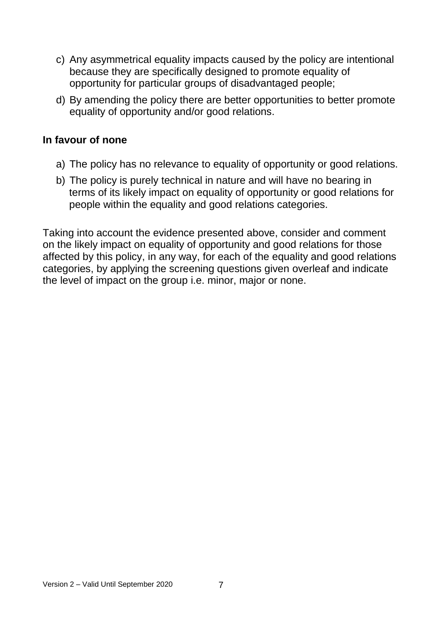- c) Any asymmetrical equality impacts caused by the policy are intentional because they are specifically designed to promote equality of opportunity for particular groups of disadvantaged people;
- d) By amending the policy there are better opportunities to better promote equality of opportunity and/or good relations.

#### **In favour of none**

- a) The policy has no relevance to equality of opportunity or good relations.
- b) The policy is purely technical in nature and will have no bearing in terms of its likely impact on equality of opportunity or good relations for people within the equality and good relations categories.

Taking into account the evidence presented above, consider and comment on the likely impact on equality of opportunity and good relations for those affected by this policy, in any way, for each of the equality and good relations categories, by applying the screening questions given overleaf and indicate the level of impact on the group i.e. minor, major or none.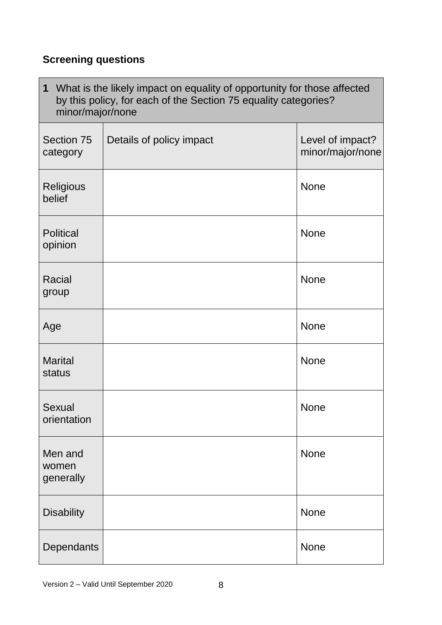# **Screening questions**

| What is the likely impact on equality of opportunity for those affected<br>$\mathbf 1$<br>by this policy, for each of the Section 75 equality categories?<br>minor/major/none |                          |                                      |
|-------------------------------------------------------------------------------------------------------------------------------------------------------------------------------|--------------------------|--------------------------------------|
| Section 75<br>category                                                                                                                                                        | Details of policy impact | Level of impact?<br>minor/major/none |
| Religious<br>belief                                                                                                                                                           |                          | <b>None</b>                          |
| <b>Political</b><br>opinion                                                                                                                                                   |                          | <b>None</b>                          |
| <b>Racial</b><br>group                                                                                                                                                        |                          | <b>None</b>                          |
| Age                                                                                                                                                                           |                          | <b>None</b>                          |
| <b>Marital</b><br>status                                                                                                                                                      |                          | <b>None</b>                          |
| <b>Sexual</b><br>orientation                                                                                                                                                  |                          | <b>None</b>                          |
| Men and<br>women<br>generally                                                                                                                                                 |                          | <b>None</b>                          |
| <b>Disability</b>                                                                                                                                                             |                          | <b>None</b>                          |
| Dependants                                                                                                                                                                    |                          | <b>None</b>                          |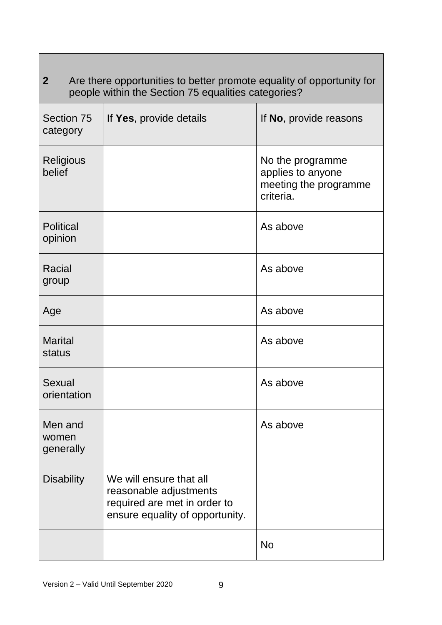| 2 <sup>1</sup><br>Are there opportunities to better promote equality of opportunity for<br>people within the Section 75 equalities categories? |                                                                                                                      |                                                                             |
|------------------------------------------------------------------------------------------------------------------------------------------------|----------------------------------------------------------------------------------------------------------------------|-----------------------------------------------------------------------------|
| <b>Section 75</b><br>category                                                                                                                  | If Yes, provide details                                                                                              | If No, provide reasons                                                      |
| <b>Religious</b><br>belief                                                                                                                     |                                                                                                                      | No the programme<br>applies to anyone<br>meeting the programme<br>criteria. |
| <b>Political</b><br>opinion                                                                                                                    |                                                                                                                      | As above                                                                    |
| Racial<br>group                                                                                                                                |                                                                                                                      | As above                                                                    |
| Age                                                                                                                                            |                                                                                                                      | As above                                                                    |
| <b>Marital</b><br>status                                                                                                                       |                                                                                                                      | As above                                                                    |
| Sexual<br>orientation                                                                                                                          |                                                                                                                      | As above                                                                    |
| Men and<br>women<br>generally                                                                                                                  |                                                                                                                      | As above                                                                    |
| <b>Disability</b>                                                                                                                              | We will ensure that all<br>reasonable adjustments<br>required are met in order to<br>ensure equality of opportunity. |                                                                             |
|                                                                                                                                                |                                                                                                                      | <b>No</b>                                                                   |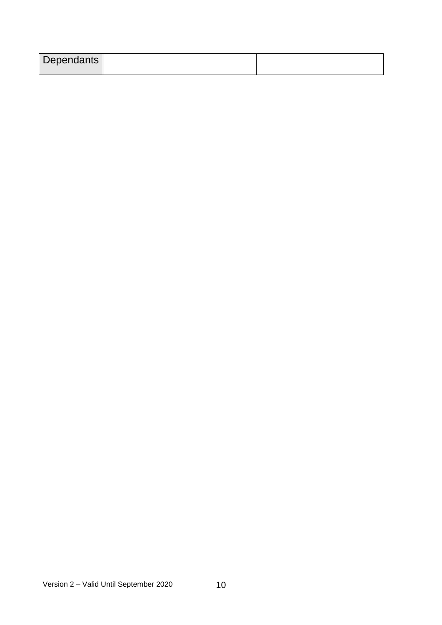| Dependants |  |
|------------|--|
|            |  |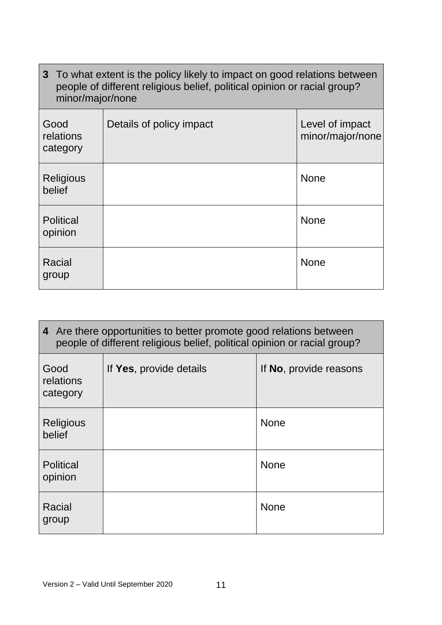| 3 To what extent is the policy likely to impact on good relations between<br>people of different religious belief, political opinion or racial group?<br>minor/major/none |                          |                                     |
|---------------------------------------------------------------------------------------------------------------------------------------------------------------------------|--------------------------|-------------------------------------|
| Good<br>relations<br>category                                                                                                                                             | Details of policy impact | Level of impact<br>minor/major/none |
| Religious<br>belief                                                                                                                                                       |                          | <b>None</b>                         |
| <b>Political</b><br>opinion                                                                                                                                               |                          | <b>None</b>                         |
| Racial<br>group                                                                                                                                                           |                          | <b>None</b>                         |

 $\overline{\phantom{a}}$ 

| 4 Are there opportunities to better promote good relations between<br>people of different religious belief, political opinion or racial group? |                         |                                |
|------------------------------------------------------------------------------------------------------------------------------------------------|-------------------------|--------------------------------|
| Good<br>relations<br>category                                                                                                                  | If Yes, provide details | If <b>No</b> , provide reasons |
| <b>Religious</b><br>belief                                                                                                                     |                         | <b>None</b>                    |
| <b>Political</b><br>opinion                                                                                                                    |                         | <b>None</b>                    |
| Racial<br>group                                                                                                                                |                         | <b>None</b>                    |

п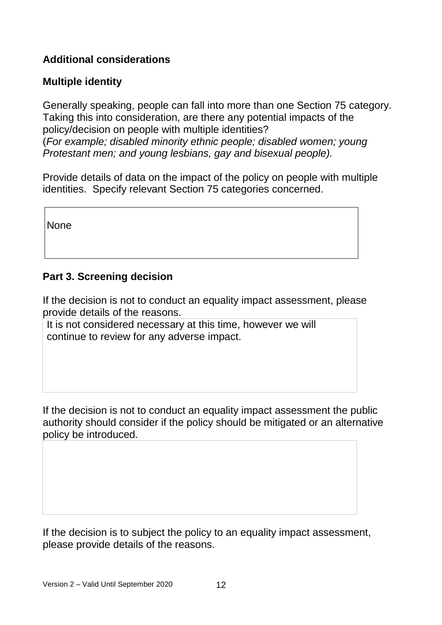# **Additional considerations**

# **Multiple identity**

Generally speaking, people can fall into more than one Section 75 category. Taking this into consideration, are there any potential impacts of the policy/decision on people with multiple identities? (*For example; disabled minority ethnic people; disabled women; young Protestant men; and young lesbians, gay and bisexual people).*

Provide details of data on the impact of the policy on people with multiple identities. Specify relevant Section 75 categories concerned.

None

#### **Part 3. Screening decision**

If the decision is not to conduct an equality impact assessment, please provide details of the reasons.

It is not considered necessary at this time, however we will continue to review for any adverse impact.

If the decision is not to conduct an equality impact assessment the public authority should consider if the policy should be mitigated or an alternative policy be introduced.

If the decision is to subject the policy to an equality impact assessment, please provide details of the reasons.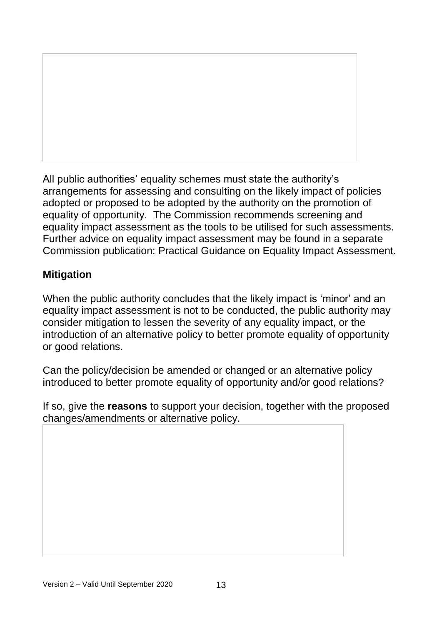All public authorities' equality schemes must state the authority's arrangements for assessing and consulting on the likely impact of policies adopted or proposed to be adopted by the authority on the promotion of equality of opportunity. The Commission recommends screening and equality impact assessment as the tools to be utilised for such assessments. Further advice on equality impact assessment may be found in a separate Commission publication: Practical Guidance on Equality Impact Assessment.

# **Mitigation**

When the public authority concludes that the likely impact is 'minor' and an equality impact assessment is not to be conducted, the public authority may consider mitigation to lessen the severity of any equality impact, or the introduction of an alternative policy to better promote equality of opportunity or good relations.

Can the policy/decision be amended or changed or an alternative policy introduced to better promote equality of opportunity and/or good relations?

If so, give the **reasons** to support your decision, together with the proposed changes/amendments or alternative policy.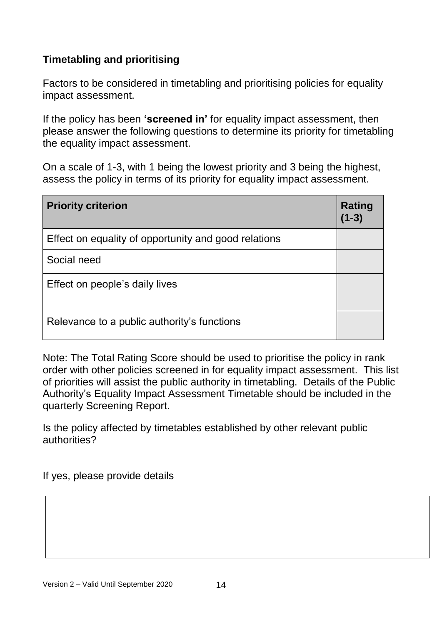# **Timetabling and prioritising**

Factors to be considered in timetabling and prioritising policies for equality impact assessment.

If the policy has been **'screened in'** for equality impact assessment, then please answer the following questions to determine its priority for timetabling the equality impact assessment.

On a scale of 1-3, with 1 being the lowest priority and 3 being the highest, assess the policy in terms of its priority for equality impact assessment.

| <b>Priority criterion</b>                            | Rating<br>$(1 - 3)$ |
|------------------------------------------------------|---------------------|
| Effect on equality of opportunity and good relations |                     |
| Social need                                          |                     |
| Effect on people's daily lives                       |                     |
| Relevance to a public authority's functions          |                     |

Note: The Total Rating Score should be used to prioritise the policy in rank order with other policies screened in for equality impact assessment. This list of priorities will assist the public authority in timetabling. Details of the Public Authority's Equality Impact Assessment Timetable should be included in the quarterly Screening Report.

Is the policy affected by timetables established by other relevant public authorities?

If yes, please provide details